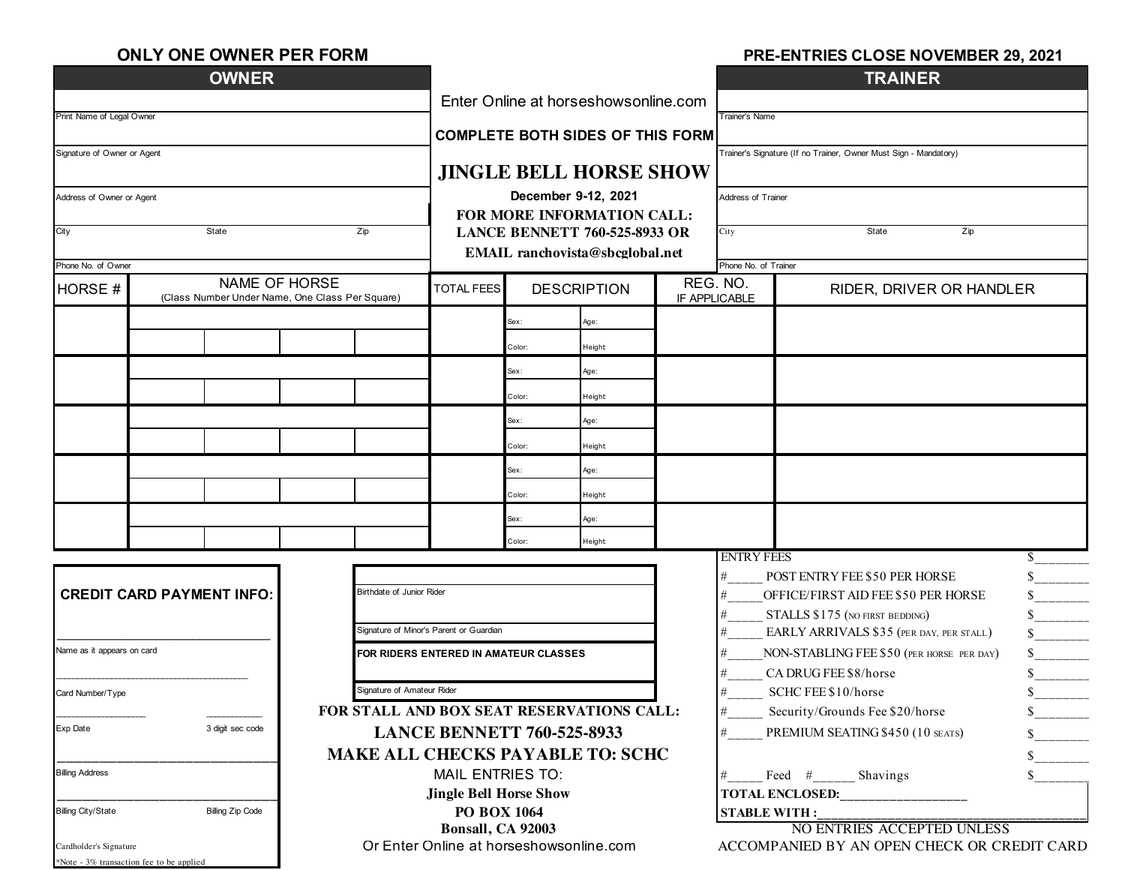| <b>ONLY ONE OWNER PER FORM</b> |  |
|--------------------------------|--|
|--------------------------------|--|

#### **PRE-ENTRIES CLOSE NOVEMBER 29, 2021**

|                                                               | <b>OWNER</b>                                                                    |                                           |                                                                                                                              |        |                                                                                    |  |                                      | <b>TRAINER</b>                                                       |              |  |
|---------------------------------------------------------------|---------------------------------------------------------------------------------|-------------------------------------------|------------------------------------------------------------------------------------------------------------------------------|--------|------------------------------------------------------------------------------------|--|--------------------------------------|----------------------------------------------------------------------|--------------|--|
|                                                               | Enter Online at horseshowsonline.com<br><b>COMPLETE BOTH SIDES OF THIS FORM</b> |                                           |                                                                                                                              |        | Trainer's Name<br>Trainer's Signature (If no Trainer, Owner Must Sign - Mandatory) |  |                                      |                                                                      |              |  |
| Print Name of Legal Owner                                     |                                                                                 |                                           |                                                                                                                              |        |                                                                                    |  |                                      |                                                                      |              |  |
| Signature of Owner or Agent                                   |                                                                                 |                                           |                                                                                                                              |        |                                                                                    |  |                                      |                                                                      |              |  |
|                                                               |                                                                                 |                                           |                                                                                                                              |        | <b>JINGLE BELL HORSE SHOW</b>                                                      |  |                                      |                                                                      |              |  |
| Address of Owner or Agent                                     |                                                                                 |                                           | December 9-12, 2021<br>FOR MORE INFORMATION CALL:<br><b>LANCE BENNETT 760-525-8933 OR</b><br>EMAIL ranchovista@sbcglobal.net |        |                                                                                    |  | Address of Trainer                   |                                                                      |              |  |
|                                                               |                                                                                 |                                           |                                                                                                                              |        |                                                                                    |  |                                      |                                                                      |              |  |
| City<br>State<br>Zip                                          |                                                                                 |                                           |                                                                                                                              |        |                                                                                    |  | State<br>Zip<br>City                 |                                                                      |              |  |
|                                                               |                                                                                 |                                           |                                                                                                                              |        |                                                                                    |  |                                      |                                                                      |              |  |
| Phone No. of Owner<br>NAME OF HORSE                           |                                                                                 |                                           |                                                                                                                              |        |                                                                                    |  | Phone No. of Trainer<br>REG. NO.     |                                                                      |              |  |
| HORSE #                                                       | (Class Number Under Name, One Class Per Square)                                 |                                           | <b>TOTAL FEES</b>                                                                                                            |        | <b>DESCRIPTION</b>                                                                 |  | IF APPLICABLE                        | RIDER, DRIVER OR HANDLER                                             |              |  |
|                                                               |                                                                                 |                                           |                                                                                                                              | Sex:   | Age:                                                                               |  |                                      |                                                                      |              |  |
|                                                               |                                                                                 |                                           |                                                                                                                              | Color: | Height                                                                             |  |                                      |                                                                      |              |  |
|                                                               |                                                                                 |                                           |                                                                                                                              | Sex:   | Age:                                                                               |  |                                      |                                                                      |              |  |
|                                                               |                                                                                 |                                           |                                                                                                                              | Color: | Height                                                                             |  |                                      |                                                                      |              |  |
|                                                               |                                                                                 |                                           |                                                                                                                              | Sex:   | Age:                                                                               |  |                                      |                                                                      |              |  |
|                                                               |                                                                                 |                                           |                                                                                                                              | Color: | Height                                                                             |  |                                      |                                                                      |              |  |
|                                                               |                                                                                 |                                           |                                                                                                                              | Sex:   | Age:                                                                               |  |                                      |                                                                      |              |  |
|                                                               |                                                                                 |                                           |                                                                                                                              | Color: | Height                                                                             |  |                                      |                                                                      |              |  |
|                                                               |                                                                                 |                                           |                                                                                                                              | Sex:   | Age:                                                                               |  |                                      |                                                                      |              |  |
|                                                               |                                                                                 |                                           |                                                                                                                              | Color: | Height                                                                             |  |                                      |                                                                      |              |  |
|                                                               |                                                                                 |                                           |                                                                                                                              |        |                                                                                    |  | <b>ENTRY FEES</b>                    |                                                                      | S.           |  |
| Birthdate of Junior Rider<br><b>CREDIT CARD PAYMENT INFO:</b> |                                                                                 |                                           |                                                                                                                              |        |                                                                                    |  | #<br>#                               | POST ENTRY FEE \$50 PER HORSE<br>OFFICE/FIRST AID FEE \$50 PER HORSE | \$.          |  |
|                                                               |                                                                                 |                                           |                                                                                                                              |        |                                                                                    |  | #<br>STALLS \$175 (NO FIRST BEDDING) |                                                                      |              |  |
|                                                               |                                                                                 |                                           | Signature of Minor's Parent or Guardian                                                                                      |        |                                                                                    |  | #                                    | EARLY ARRIVALS \$35 (PER DAY, PER STALL)                             |              |  |
| Name as it appears on card                                    |                                                                                 |                                           | FOR RIDERS ENTERED IN AMATEUR CLASSES                                                                                        |        |                                                                                    |  | #                                    | NON-STABLING FEE \$50 (PER HORSE PER DAY)                            |              |  |
|                                                               |                                                                                 |                                           |                                                                                                                              |        |                                                                                    |  | #                                    | CA DRUG FEE \$8/horse                                                |              |  |
| Signature of Amateur Rider<br>Card Number/Type                |                                                                                 |                                           |                                                                                                                              |        |                                                                                    |  | #                                    | SCHC FEE \$10/horse                                                  |              |  |
|                                                               |                                                                                 | FOR STALL AND BOX SEAT RESERVATIONS CALL: |                                                                                                                              |        |                                                                                    |  |                                      | Security/Grounds Fee \$20/horse                                      |              |  |
| Exp Date                                                      | 3 digit sec code                                                                |                                           | <b>LANCE BENNETT 760-525-8933</b>                                                                                            |        |                                                                                    |  | #                                    | PREMIUM SEATING \$450 (10 SEATS)                                     |              |  |
|                                                               |                                                                                 | <b>MAKE ALL CHECKS PAYABLE TO: SCHC</b>   |                                                                                                                              |        |                                                                                    |  |                                      |                                                                      | $\mathbb{S}$ |  |
| <b>Billing Address</b>                                        |                                                                                 |                                           | <b>MAIL ENTRIES TO:</b>                                                                                                      |        |                                                                                    |  | \$<br>Feed # Shavings<br>#           |                                                                      |              |  |
| <b>Billing Zip Code</b>                                       |                                                                                 |                                           | <b>Jingle Bell Horse Show</b><br><b>PO BOX 1064</b>                                                                          |        |                                                                                    |  | <b>TOTAL ENCLOSED:</b>               |                                                                      |              |  |
| <b>Billing City/State</b>                                     | Bonsall, CA 92003                                                               |                                           |                                                                                                                              |        | <b>STABLE WITH:</b><br>NO ENTRIES ACCEPTED UNLESS                                  |  |                                      |                                                                      |              |  |
| Cardholder's Signature                                        |                                                                                 |                                           |                                                                                                                              |        | Or Enter Online at horseshowsonline.com                                            |  |                                      | ACCOMPANIED BY AN OPEN CHECK OR CREDIT CARD                          |              |  |
|                                                               | *Note - 3% transaction fee to be applied                                        |                                           |                                                                                                                              |        |                                                                                    |  |                                      |                                                                      |              |  |